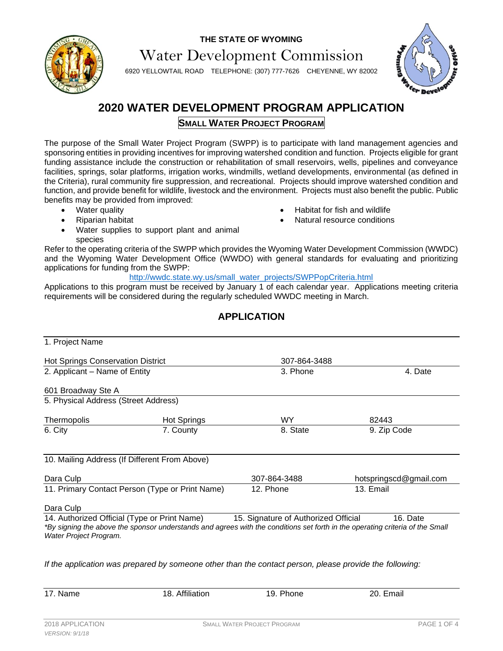



Water Development Commission

6920 YELLOWTAIL ROAD TELEPHONE: (307) 777-7626 CHEYENNE, WY 82002



# **2020 WATER DEVELOPMENT PROGRAM APPLICATION SMALL WATER PROJECT PROGRAM**

The purpose of the Small Water Project Program (SWPP) is to participate with land management agencies and sponsoring entities in providing incentives for improving watershed condition and function. Projects eligible for grant funding assistance include the construction or rehabilitation of small reservoirs, wells, pipelines and conveyance facilities, springs, solar platforms, irrigation works, windmills, wetland developments, environmental (as defined in the Criteria), rural community fire suppression, and recreational. Projects should improve watershed condition and function, and provide benefit for wildlife, livestock and the environment. Projects must also benefit the public. Public benefits may be provided from improved:

- Water quality
- Riparian habitat
- Habitat for fish and wildlife
- Natural resource conditions
- Water supplies to support plant and animal species

Refer to the operating criteria of the SWPP which provides the Wyoming Water Development Commission (WWDC) and the Wyoming Water Development Office (WWDO) with general standards for evaluating and prioritizing applications for funding from the SWPP:

http://wwdc.state.wy.us/small\_water\_projects/SWPPopCriteria.html

Applications to this program must be received by January 1 of each calendar year. Applications meeting criteria requirements will be considered during the regularly scheduled WWDC meeting in March.

# **APPLICATION**

| 1. Project Name                                 |                                               |                                      |                                                                                                                                           |  |  |
|-------------------------------------------------|-----------------------------------------------|--------------------------------------|-------------------------------------------------------------------------------------------------------------------------------------------|--|--|
| <b>Hot Springs Conservation District</b>        |                                               | 307-864-3488                         |                                                                                                                                           |  |  |
| 2. Applicant - Name of Entity                   |                                               | 3. Phone                             | 4. Date                                                                                                                                   |  |  |
| 601 Broadway Ste A                              |                                               |                                      |                                                                                                                                           |  |  |
| 5. Physical Address (Street Address)            |                                               |                                      |                                                                                                                                           |  |  |
| Thermopolis                                     | <b>Hot Springs</b>                            | <b>WY</b>                            | 82443                                                                                                                                     |  |  |
| 6. City                                         | 7. County                                     | 8. State                             | 9. Zip Code                                                                                                                               |  |  |
|                                                 | 10. Mailing Address (If Different From Above) |                                      |                                                                                                                                           |  |  |
| Dara Culp                                       |                                               | 307-864-3488                         | hotspringscd@gmail.com                                                                                                                    |  |  |
| 11. Primary Contact Person (Type or Print Name) |                                               | 12. Phone                            | 13. Email                                                                                                                                 |  |  |
| Dara Culp                                       |                                               |                                      |                                                                                                                                           |  |  |
| Water Project Program.                          | 14. Authorized Official (Type or Print Name)  | 15. Signature of Authorized Official | 16. Date<br>*By signing the above the sponsor understands and agrees with the conditions set forth in the operating criteria of the Small |  |  |

*If the application was prepared by someone other than the contact person, please provide the following:*

17. Name 18. Affiliation 19. Phone 20. Email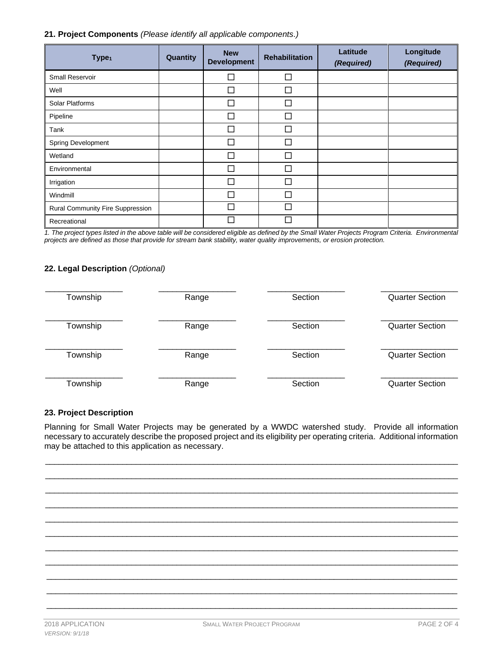#### **21. Project Components** *(Please identify all applicable components.)*

| Type <sub>1</sub>                | Quantity | <b>New</b><br><b>Development</b> | <b>Rehabilitation</b> | Latitude<br>(Required) | Longitude<br>(Required) |
|----------------------------------|----------|----------------------------------|-----------------------|------------------------|-------------------------|
| <b>Small Reservoir</b>           |          | П                                | П                     |                        |                         |
| Well                             |          | П                                | ┑                     |                        |                         |
| <b>Solar Platforms</b>           |          |                                  |                       |                        |                         |
| Pipeline                         |          | П                                | J                     |                        |                         |
| Tank                             |          | П                                | П                     |                        |                         |
| Spring Development               |          |                                  |                       |                        |                         |
| Wetland                          |          | П                                |                       |                        |                         |
| Environmental                    |          | П                                | П                     |                        |                         |
| Irrigation                       |          | П                                |                       |                        |                         |
| Windmill                         |          |                                  |                       |                        |                         |
| Rural Community Fire Suppression |          |                                  | П                     |                        |                         |
| Recreational                     |          |                                  |                       |                        |                         |

*1. The project types listed in the above table will be considered eligible as defined by the Small Water Projects Program Criteria. Environmental projects are defined as those that provide for stream bank stability, water quality improvements, or erosion protection.*

### **22. Legal Description** *(Optional)*

| Township | Range | Section | <b>Quarter Section</b> |
|----------|-------|---------|------------------------|
|          |       |         |                        |
| Township | Range | Section | <b>Quarter Section</b> |
|          |       |         |                        |
| Township | Range | Section | <b>Quarter Section</b> |
|          |       |         |                        |
| Township | Range | Section | <b>Quarter Section</b> |

### **23. Project Description**

Planning for Small Water Projects may be generated by a WWDC watershed study. Provide all information necessary to accurately describe the proposed project and its eligibility per operating criteria. Additional information may be attached to this application as necessary.

 $\Box$ \_\_\_\_\_\_\_\_\_\_\_\_\_\_\_\_\_\_\_\_\_\_\_\_\_\_\_\_\_\_\_\_\_\_\_\_\_\_\_\_\_\_\_\_\_\_\_\_\_\_\_\_\_\_\_\_\_\_\_\_\_\_\_\_\_\_\_\_\_\_\_\_\_\_\_\_\_\_\_\_\_\_\_\_\_\_\_\_\_\_\_  $\Box$  $\Box$ \_\_\_\_\_\_\_\_\_\_\_\_\_\_\_\_\_\_\_\_\_\_\_\_\_\_\_\_\_\_\_\_\_\_\_\_\_\_\_\_\_\_\_\_\_\_\_\_\_\_\_\_\_\_\_\_\_\_\_\_\_\_\_\_\_\_\_\_\_\_\_\_\_\_\_\_\_\_\_\_\_\_\_\_\_\_\_\_\_\_\_ \_\_\_\_\_\_\_\_\_\_\_\_\_\_\_\_\_\_\_\_\_\_\_\_\_\_\_\_\_\_\_\_\_\_\_\_\_\_\_\_\_\_\_\_\_\_\_\_\_\_\_\_\_\_\_\_\_\_\_\_\_\_\_\_\_\_\_\_\_\_\_\_\_\_\_\_\_\_\_\_\_\_\_\_\_\_\_\_\_\_\_ \_\_\_\_\_\_\_\_\_\_\_\_\_\_\_\_\_\_\_\_\_\_\_\_\_\_\_\_\_\_\_\_\_\_\_\_\_\_\_\_\_\_\_\_\_\_\_\_\_\_\_\_\_\_\_\_\_\_\_\_\_\_\_\_\_\_\_\_\_\_\_\_\_\_\_\_\_\_\_\_\_\_\_\_\_\_\_\_\_\_\_ \_\_\_\_\_\_\_\_\_\_\_\_\_\_\_\_\_\_\_\_\_\_\_\_\_\_\_\_\_\_\_\_\_\_\_\_\_\_\_\_\_\_\_\_\_\_\_\_\_\_\_\_\_\_\_\_\_\_\_\_\_\_\_\_\_\_\_\_\_\_\_\_\_\_\_\_\_\_\_\_\_\_\_\_\_\_\_\_\_\_\_ \_\_\_\_\_\_\_\_\_\_\_\_\_\_\_\_\_\_\_\_\_\_\_\_\_\_\_\_\_\_\_\_\_\_\_\_\_\_\_\_\_\_\_\_\_\_\_\_\_\_\_\_\_\_\_\_\_\_\_\_\_\_\_\_\_\_\_\_\_\_\_\_\_\_\_\_\_\_\_\_\_\_\_\_\_\_\_\_\_\_ \_\_\_\_\_\_\_\_\_\_\_\_\_\_\_\_\_\_\_\_\_\_\_\_\_\_\_\_\_\_\_\_\_\_\_\_\_\_\_\_\_\_\_\_\_\_\_\_\_\_\_\_\_\_\_\_\_\_\_\_\_\_\_\_\_\_\_\_\_\_\_\_\_\_\_\_\_\_\_\_\_\_\_\_\_\_\_\_\_\_ \_\_\_\_\_\_\_\_\_\_\_\_\_\_\_\_\_\_\_\_\_\_\_\_\_\_\_\_\_\_\_\_\_\_\_\_\_\_\_\_\_\_\_\_\_\_\_\_\_\_\_\_\_\_\_\_\_\_\_\_\_\_\_\_\_\_\_\_\_\_\_\_\_\_\_\_\_\_\_\_\_\_\_\_\_\_\_\_\_\_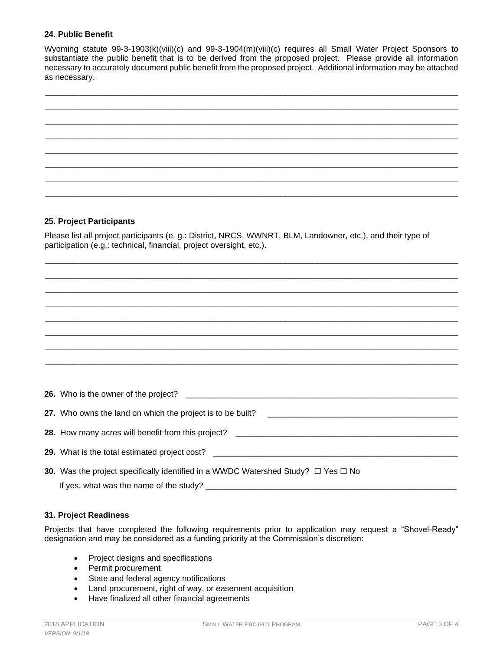#### **24. Public Benefit**

Wyoming statute 99-3-1903(k)(viii)(c) and 99-3-1904(m)(viii)(c) requires all Small Water Project Sponsors to substantiate the public benefit that is to be derived from the proposed project. Please provide all information necessary to accurately document public benefit from the proposed project. Additional information may be attached as necessary.



### **25. Project Participants**

Please list all project participants (e. g.: District, NRCS, WWNRT, BLM, Landowner, etc.), and their type of participation (e.g.: technical, financial, project oversight, etc.).

\_\_\_\_\_\_\_\_\_\_\_\_\_\_\_\_\_\_\_\_\_\_\_\_\_\_\_\_\_\_\_\_\_\_\_\_\_\_\_\_\_\_\_\_\_\_\_\_\_\_\_\_\_\_\_\_\_\_\_\_\_\_\_\_\_\_\_\_\_\_\_\_\_\_\_\_\_\_\_\_\_\_\_\_\_\_\_\_\_\_\_  $\Box$ 

| <b>30.</b> Was the project specifically identified in a WWDC Watershed Study? $\Box$ Yes $\Box$ No |
|----------------------------------------------------------------------------------------------------|
|                                                                                                    |

#### **31. Project Readiness**

Projects that have completed the following requirements prior to application may request a "Shovel-Ready" designation and may be considered as a funding priority at the Commission's discretion:

- Project designs and specifications
- Permit procurement
- State and federal agency notifications
- Land procurement, right of way, or easement acquisition
- Have finalized all other financial agreements